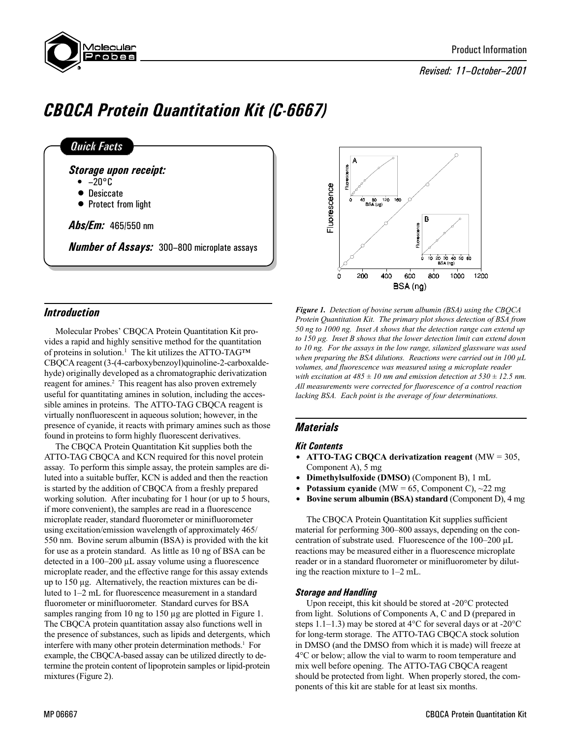

# Revised: 11-October-2001

# CBQCA Protein Quantitation Kit (C-6667)

| <b>Quick Facts</b>                                 |  |
|----------------------------------------------------|--|
| <b>Storage upon receipt:</b>                       |  |
| $\bullet$ $-20^{\circ}$ C                          |  |
| $\bullet$ Desiccate                                |  |
| • Protect from light                               |  |
| <b>Abs/Em:</b> 465/550 nm                          |  |
|                                                    |  |
| <b>Number of Assays:</b> 300-800 microplate assays |  |



Molecular Probes' CBQCA Protein Quantitation Kit provides a rapid and highly sensitive method for the quantitation of proteins in solution.<sup>1</sup> The kit utilizes the ATTO-TAG<sup>TM</sup> CBQCA reagent (3-(4-carboxybenzoyl)quinoline-2-carboxaldehyde) originally developed as a chromatographic derivatization reagent for amines.<sup>2</sup> This reagent has also proven extremely useful for quantitating amines in solution, including the accessible amines in proteins. The ATTO-TAG CBQCA reagent is virtually nonfluorescent in aqueous solution; however, in the presence of cyanide, it reacts with primary amines such as those found in proteins to form highly fluorescent derivatives.

The CBQCA Protein Quantitation Kit supplies both the ATTO-TAG CBQCA and KCN required for this novel protein assay. To perform this simple assay, the protein samples are diluted into a suitable buffer, KCN is added and then the reaction is started by the addition of CBQCA from a freshly prepared working solution. After incubating for 1 hour (or up to 5 hours, if more convenient), the samples are read in a fluorescence microplate reader, standard fluorometer or minifluorometer using excitation/emission wavelength of approximately 465/ 550 nm. Bovine serum albumin (BSA) is provided with the kit for use as a protein standard. As little as 10 ng of BSA can be detected in a  $100-200 \mu L$  assay volume using a fluorescence microplate reader, and the effective range for this assay extends up to 150 µg. Alternatively, the reaction mixtures can be diluted to 1–2 mL for fluorescence measurement in a standard fluorometer or minifluorometer. Standard curves for BSA samples ranging from 10 ng to 150 µg are plotted in Figure 1. The CBQCA protein quantitation assay also functions well in the presence of substances, such as lipids and detergents, which interfere with many other protein determination methods.<sup>1</sup> For example, the CBQCA-based assay can be utilized directly to determine the protein content of lipoprotein samples or lipid-protein mixtures (Figure 2).



Figure 1. Detection of bovine serum albumin (BSA) using the CBQCA Protein Quantitation Kit. The primary plot shows detection of BSA from 50 ng to 1000 ng. Inset A shows that the detection range can extend up to 150 µg. Inset B shows that the lower detection limit can extend down to 10 ng. For the assays in the low range, silanized glassware was used when preparing the BSA dilutions. Reactions were carried out in  $100 \mu L$ volumes, and fluorescence was measured using a microplate reader with excitation at  $485 \pm 10$  nm and emission detection at  $530 \pm 12.5$  nm. All measurements were corrected for fluorescence of a control reaction lacking BSA. Each point is the average of four determinations.

# **Materials**

## Kit Contents

- ATTO-TAG CBQCA derivatization reagent  $(MW = 305,$ Component A), 5 mg
- Dimethylsulfoxide (DMSO) (Component B), 1 mL
- Potassium cyanide (MW = 65, Component C),  $\sim$ 22 mg
- Bovine serum albumin (BSA) standard (Component D), 4 mg

The CBQCA Protein Quantitation Kit supplies sufficient material for performing 300–800 assays, depending on the concentration of substrate used. Fluorescence of the  $100-200 \mu L$ reactions may be measured either in a fluorescence microplate reader or in a standard fluorometer or minifluorometer by diluting the reaction mixture to  $1-2$  mL.

# Storage and Handling

Upon receipt, this kit should be stored at -20°C protected from light. Solutions of Components A, C and D (prepared in steps 1.1–1.3) may be stored at 4 $\rm ^{o}C$  for several days or at -20 $\rm ^{o}C$ for long-term storage. The ATTO-TAG CBQCA stock solution in DMSO (and the DMSO from which it is made) will freeze at 4°C or below; allow the vial to warm to room temperature and mix well before opening. The ATTO-TAG CBQCA reagent should be protected from light. When properly stored, the components of this kit are stable for at least six months.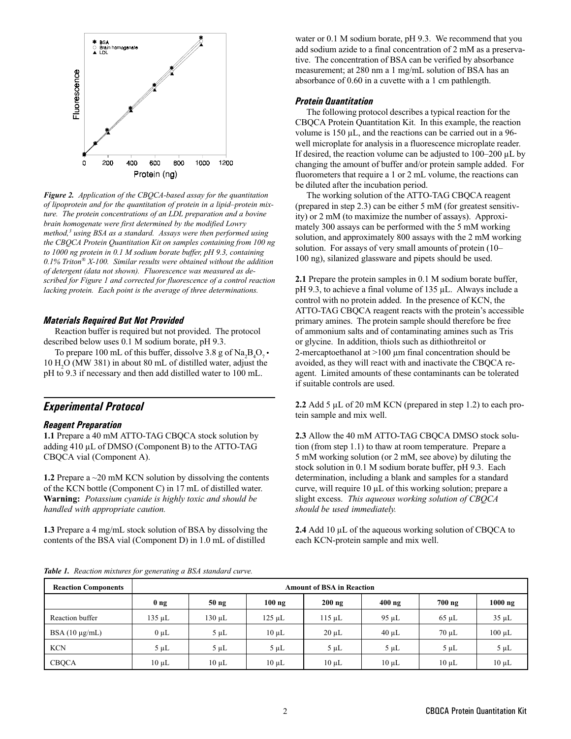

Figure 2. Application of the CBQCA-based assay for the quantitation of lipoprotein and for the quantitation of protein in a lipid-protein mixture. The protein concentrations of an LDL preparation and a bovine brain homogenate were first determined by the modified Lowry method,<sup>3</sup> using BSA as a standard. Assays were then performed using the CBQCA Protein Quantitation Kit on samples containing from 100 ng to 1000 ng protein in 0.1 M sodium borate buffer, pH 9.3, containing  $0.1\%$  Triton® X-100. Similar results were obtained without the addition of detergent (data not shown). Fluorescence was measured as described for Figure 1 and corrected for fluorescence of a control reaction lacking protein. Each point is the average of three determinations.

#### Materials Required But Not Provided

Reaction buffer is required but not provided. The protocol described below uses 0.1 M sodium borate, pH 9.3.

To prepare 100 mL of this buffer, dissolve 3.8 g of  $\text{Na}_2\text{B}_4\text{O}_7$ . 10  $H<sub>2</sub>O$  (MW 381) in about 80 mL of distilled water, adjust the pH to 9.3 if necessary and then add distilled water to 100 mL.

# Experimental Protocol

## Reagent Preparation

1.1 Prepare a 40 mM ATTO-TAG CBQCA stock solution by adding 410 µL of DMSO (Component B) to the ATTO-TAG CBQCA vial (Component A).

1.2 Prepare a ~20 mM KCN solution by dissolving the contents of the KCN bottle (Component C) in 17 mL of distilled water. Warning: Potassium cyanide is highly toxic and should be handled with appropriate caution.

1.3 Prepare a 4 mg/mL stock solution of BSA by dissolving the contents of the BSA vial (Component D) in 1.0 mL of distilled

water or 0.1 M sodium borate, pH 9.3. We recommend that you add sodium azide to a final concentration of 2 mM as a preservative. The concentration of BSA can be verified by absorbance measurement; at 280 nm a 1 mg/mL solution of BSA has an absorbance of 0.60 in a cuvette with a 1 cm pathlength.

#### Protein Quantitation

The following protocol describes a typical reaction for the CBQCA Protein Quantitation Kit. In this example, the reaction volume is 150 µL, and the reactions can be carried out in a 96 well microplate for analysis in a fluorescence microplate reader. If desired, the reaction volume can be adjusted to  $100-200 \mu L$  by changing the amount of buffer and/or protein sample added. For fluorometers that require a 1 or 2 mL volume, the reactions can be diluted after the incubation period.

The working solution of the ATTO-TAG CBQCA reagent (prepared in step 2.3) can be either 5 mM (for greatest sensitivity) or 2 mM (to maximize the number of assays). Approximately 300 assays can be performed with the 5 mM working solution, and approximately 800 assays with the 2 mM working solution. For assays of very small amounts of protein (10 100 ng), silanized glassware and pipets should be used.

2.1 Prepare the protein samples in 0.1 M sodium borate buffer, pH 9.3, to achieve a final volume of 135 µL. Always include a control with no protein added. In the presence of KCN, the ATTO-TAG CBQCA reagent reacts with the protein's accessible primary amines. The protein sample should therefore be free of ammonium salts and of contaminating amines such as Tris or glycine. In addition, thiols such as dithiothreitol or 2-mercaptoethanol at >100 µm final concentration should be avoided, as they will react with and inactivate the CBQCA reagent. Limited amounts of these contaminants can be tolerated if suitable controls are used.

2.2 Add 5 µL of 20 mM KCN (prepared in step 1.2) to each protein sample and mix well.

2.3 Allow the 40 mM ATTO-TAG CBQCA DMSO stock solution (from step 1.1) to thaw at room temperature. Prepare a 5 mM working solution (or 2 mM, see above) by diluting the stock solution in 0.1 M sodium borate buffer, pH 9.3. Each determination, including a blank and samples for a standard curve, will require 10 µL of this working solution; prepare a slight excess. This aqueous working solution of CBQCA should be used immediately.

2.4 Add 10 µL of the aqueous working solution of CBQCA to each KCN-protein sample and mix well.

Table 1. Reaction mixtures for generating a BSA standard curve.

| <b>Reaction Components</b> | <b>Amount of BSA in Reaction</b> |                  |            |             |            |            |             |
|----------------------------|----------------------------------|------------------|------------|-------------|------------|------------|-------------|
|                            | 0 <sub>ng</sub>                  | 50 <sub>ng</sub> | $100$ ng   | $200$ ng    | $400$ ng   | $700$ ng   | $1000$ ng   |
| Reaction buffer            | $135 \mu L$                      | $130 \mu L$      | 125 uL     | $115 \mu L$ | $95 \mu L$ | $65 \mu L$ | $35 \mu L$  |
| $BSA(10 \mu g/mL)$         | $0 \mu L$                        | $5 \mu L$        | $10 \mu L$ | $20 \mu L$  | $40 \mu L$ | $70 \mu L$ | $100 \mu L$ |
| <b>KCN</b>                 | $5 \mu L$                        | $5 \mu L$        | $5 \mu L$  | $5 \mu L$   | $5 \mu L$  | $5 \mu L$  | $5 \mu L$   |
| <b>CBOCA</b>               | $10 \mu L$                       | $10 \mu L$       | $10 \mu L$ | $10 \mu L$  | $10 \mu L$ | $10 \mu L$ | $10 \mu L$  |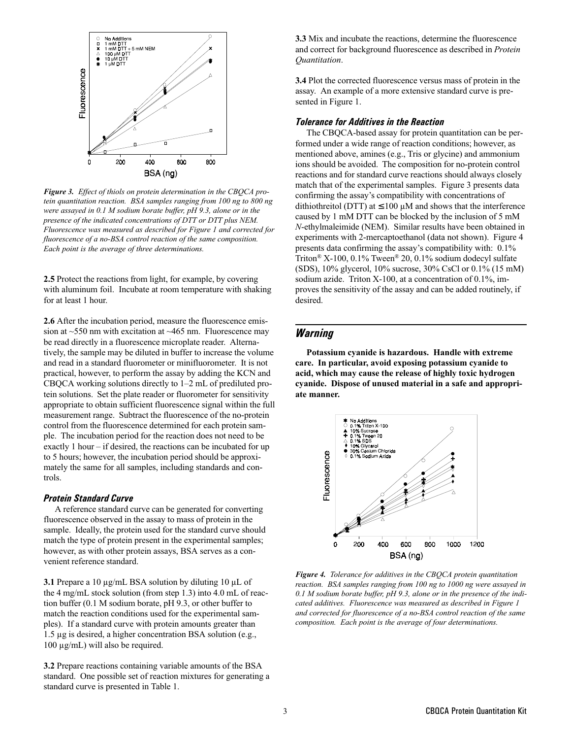

Figure 3. Effect of thiols on protein determination in the CBOCA protein quantitation reaction. BSA samples ranging from 100 ng to 800 ng were assayed in 0.1 M sodium borate buffer, pH 9.3, alone or in the presence of the indicated concentrations of DTT or DTT plus NEM. Fluorescence was measured as described for Figure 1 and corrected for fluorescence of a no-BSA control reaction of the same composition. Each point is the average of three determinations.

2.5 Protect the reactions from light, for example, by covering with aluminum foil. Incubate at room temperature with shaking for at least 1 hour.

2.6 After the incubation period, measure the fluorescence emission at  $\sim$ 550 nm with excitation at  $\sim$ 465 nm. Fluorescence may be read directly in a fluorescence microplate reader. Alternatively, the sample may be diluted in buffer to increase the volume and read in a standard fluorometer or minifluorometer. It is not practical, however, to perform the assay by adding the KCN and CBQCA working solutions directly to  $1-2$  mL of prediluted protein solutions. Set the plate reader or fluorometer for sensitivity appropriate to obtain sufficient fluorescence signal within the full measurement range. Subtract the fluorescence of the no-protein control from the fluorescence determined for each protein sample. The incubation period for the reaction does not need to be exactly 1 hour  $-$  if desired, the reactions can be incubated for up to 5 hours; however, the incubation period should be approximately the same for all samples, including standards and controls.

#### Protein Standard Curve

A reference standard curve can be generated for converting fluorescence observed in the assay to mass of protein in the sample. Ideally, the protein used for the standard curve should match the type of protein present in the experimental samples; however, as with other protein assays, BSA serves as a convenient reference standard.

3.1 Prepare a 10  $\mu$ g/mL BSA solution by diluting 10  $\mu$ L of the 4 mg/mL stock solution (from step 1.3) into 4.0 mL of reaction buffer (0.1 M sodium borate, pH 9.3, or other buffer to match the reaction conditions used for the experimental samples). If a standard curve with protein amounts greater than 1.5 µg is desired, a higher concentration BSA solution (e.g., 100 µg/mL) will also be required.

3.2 Prepare reactions containing variable amounts of the BSA standard. One possible set of reaction mixtures for generating a standard curve is presented in Table 1.

3.3 Mix and incubate the reactions, determine the fluorescence and correct for background fluorescence as described in Protein Quantitation.

3.4 Plot the corrected fluorescence versus mass of protein in the assay. An example of a more extensive standard curve is presented in Figure 1.

#### Tolerance for Additives in the Reaction

The CBQCA-based assay for protein quantitation can be performed under a wide range of reaction conditions; however, as mentioned above, amines (e.g., Tris or glycine) and ammonium ions should be avoided. The composition for no-protein control reactions and for standard curve reactions should always closely match that of the experimental samples. Figure 3 presents data confirming the assay's compatibility with concentrations of dithiothreitol (DTT) at  $\leq 100 \mu$ M and shows that the interference caused by 1 mM DTT can be blocked by the inclusion of 5 mM N-ethylmaleimide (NEM). Similar results have been obtained in experiments with 2-mercaptoethanol (data not shown). Figure 4 presents data confirming the assay's compatibility with:  $0.1\%$ Triton<sup>®</sup> X-100, 0.1% Tween<sup>®</sup> 20, 0.1% sodium dodecyl sulfate (SDS), 10% glycerol, 10% sucrose, 30% CsCl or 0.1% (15 mM) sodium azide. Triton X-100, at a concentration of 0.1%, improves the sensitivity of the assay and can be added routinely, if desired.

## **Warning**

Potassium cyanide is hazardous. Handle with extreme care. In particular, avoid exposing potassium cyanide to acid, which may cause the release of highly toxic hydrogen cyanide. Dispose of unused material in a safe and appropriate manner.



Figure 4. Tolerance for additives in the CBQCA protein quantitation reaction. BSA samples ranging from 100 ng to 1000 ng were assayed in 0.1 M sodium borate buffer, pH 9.3, alone or in the presence of the indicated additives. Fluorescence was measured as described in Figure 1 and corrected for fluorescence of a no-BSA control reaction of the same composition. Each point is the average of four determinations.